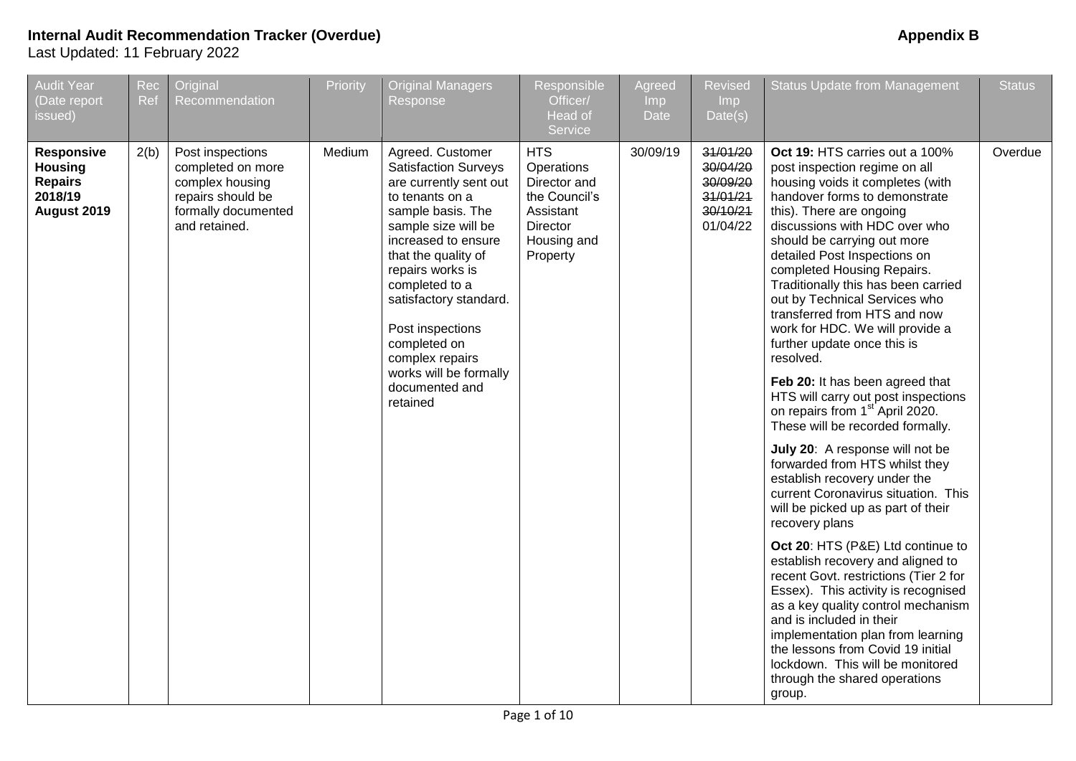| <b>Audit Year</b><br>(Date report<br>issued)                                    | Rec<br>Ref | Original<br>Recommendation                                                                                            | Priority | <b>Original Managers</b><br>Response                                                                                                                                                                                                                                                                                                                                  | Responsible<br>Officer/<br><b>Head of</b><br>Service                                                          | Agreed<br>Imp<br><b>Date</b> | <b>Revised</b><br><b>Imp</b><br>Date(s)                              | <b>Status Update from Management</b>                                                                                                                                                                                                                                                                                                                                                                                                                                                                                                                                                                                                                                                                                                                                                                                                                                                                                                                                                                                                                                                                                                                                                                                                        | <b>Status</b> |
|---------------------------------------------------------------------------------|------------|-----------------------------------------------------------------------------------------------------------------------|----------|-----------------------------------------------------------------------------------------------------------------------------------------------------------------------------------------------------------------------------------------------------------------------------------------------------------------------------------------------------------------------|---------------------------------------------------------------------------------------------------------------|------------------------------|----------------------------------------------------------------------|---------------------------------------------------------------------------------------------------------------------------------------------------------------------------------------------------------------------------------------------------------------------------------------------------------------------------------------------------------------------------------------------------------------------------------------------------------------------------------------------------------------------------------------------------------------------------------------------------------------------------------------------------------------------------------------------------------------------------------------------------------------------------------------------------------------------------------------------------------------------------------------------------------------------------------------------------------------------------------------------------------------------------------------------------------------------------------------------------------------------------------------------------------------------------------------------------------------------------------------------|---------------|
| <b>Responsive</b><br><b>Housing</b><br><b>Repairs</b><br>2018/19<br>August 2019 | 2(b)       | Post inspections<br>completed on more<br>complex housing<br>repairs should be<br>formally documented<br>and retained. | Medium   | Agreed. Customer<br><b>Satisfaction Surveys</b><br>are currently sent out<br>to tenants on a<br>sample basis. The<br>sample size will be<br>increased to ensure<br>that the quality of<br>repairs works is<br>completed to a<br>satisfactory standard.<br>Post inspections<br>completed on<br>complex repairs<br>works will be formally<br>documented and<br>retained | <b>HTS</b><br>Operations<br>Director and<br>the Council's<br>Assistant<br>Director<br>Housing and<br>Property | 30/09/19                     | 31/01/20<br>30/04/20<br>30/09/20<br>31/01/21<br>30/10/21<br>01/04/22 | Oct 19: HTS carries out a 100%<br>post inspection regime on all<br>housing voids it completes (with<br>handover forms to demonstrate<br>this). There are ongoing<br>discussions with HDC over who<br>should be carrying out more<br>detailed Post Inspections on<br>completed Housing Repairs.<br>Traditionally this has been carried<br>out by Technical Services who<br>transferred from HTS and now<br>work for HDC. We will provide a<br>further update once this is<br>resolved.<br>Feb 20: It has been agreed that<br>HTS will carry out post inspections<br>on repairs from 1 <sup>st</sup> April 2020.<br>These will be recorded formally.<br>July 20: A response will not be<br>forwarded from HTS whilst they<br>establish recovery under the<br>current Coronavirus situation. This<br>will be picked up as part of their<br>recovery plans<br>Oct 20: HTS (P&E) Ltd continue to<br>establish recovery and aligned to<br>recent Govt. restrictions (Tier 2 for<br>Essex). This activity is recognised<br>as a key quality control mechanism<br>and is included in their<br>implementation plan from learning<br>the lessons from Covid 19 initial<br>lockdown. This will be monitored<br>through the shared operations<br>group. | Overdue       |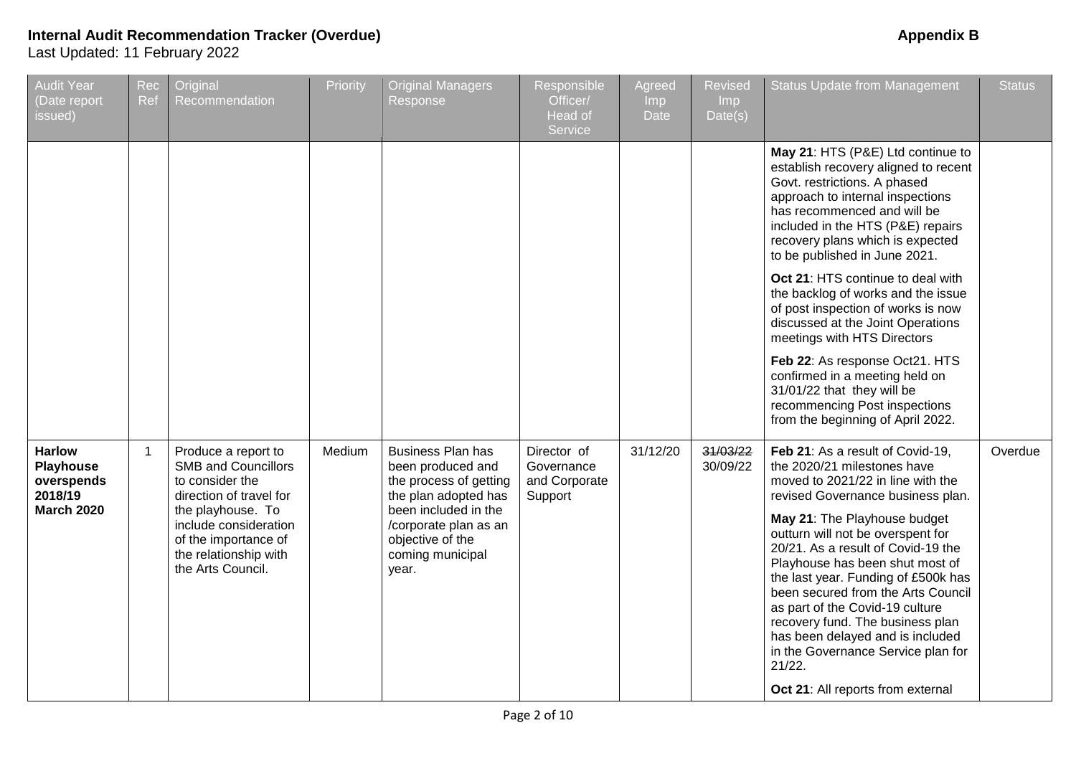| Audit Year<br>(Date report<br>issued)                                           | Rec<br>Ref | Original<br>Recommendation                                                                                                                                                                                          | Priority | <b>Original Managers</b><br>Response                                                                                                                                                              | Responsible<br>Officer/<br>Head of<br>Service         | Agreed<br><b>Imp</b><br><b>Date</b> | <b>Revised</b><br><b>Imp</b><br>Date(s) | <b>Status Update from Management</b>                                                                                                                                                                                                                                                                                                                                                                                                                                                                                                                                          | <b>Status</b> |
|---------------------------------------------------------------------------------|------------|---------------------------------------------------------------------------------------------------------------------------------------------------------------------------------------------------------------------|----------|---------------------------------------------------------------------------------------------------------------------------------------------------------------------------------------------------|-------------------------------------------------------|-------------------------------------|-----------------------------------------|-------------------------------------------------------------------------------------------------------------------------------------------------------------------------------------------------------------------------------------------------------------------------------------------------------------------------------------------------------------------------------------------------------------------------------------------------------------------------------------------------------------------------------------------------------------------------------|---------------|
|                                                                                 |            |                                                                                                                                                                                                                     |          |                                                                                                                                                                                                   |                                                       |                                     |                                         | May 21: HTS (P&E) Ltd continue to<br>establish recovery aligned to recent<br>Govt. restrictions. A phased<br>approach to internal inspections<br>has recommenced and will be<br>included in the HTS (P&E) repairs<br>recovery plans which is expected<br>to be published in June 2021.<br>Oct 21: HTS continue to deal with<br>the backlog of works and the issue<br>of post inspection of works is now<br>discussed at the Joint Operations<br>meetings with HTS Directors<br>Feb 22: As response Oct21. HTS<br>confirmed in a meeting held on<br>31/01/22 that they will be |               |
|                                                                                 |            |                                                                                                                                                                                                                     |          |                                                                                                                                                                                                   |                                                       |                                     |                                         | recommencing Post inspections<br>from the beginning of April 2022.                                                                                                                                                                                                                                                                                                                                                                                                                                                                                                            |               |
| <b>Harlow</b><br><b>Playhouse</b><br>overspends<br>2018/19<br><b>March 2020</b> | 1          | Produce a report to<br><b>SMB and Councillors</b><br>to consider the<br>direction of travel for<br>the playhouse. To<br>include consideration<br>of the importance of<br>the relationship with<br>the Arts Council. | Medium   | <b>Business Plan has</b><br>been produced and<br>the process of getting<br>the plan adopted has<br>been included in the<br>/corporate plan as an<br>objective of the<br>coming municipal<br>year. | Director of<br>Governance<br>and Corporate<br>Support | 31/12/20                            | 31/03/22<br>30/09/22                    | Feb 21: As a result of Covid-19,<br>the 2020/21 milestones have<br>moved to 2021/22 in line with the<br>revised Governance business plan.<br>May 21: The Playhouse budget<br>outturn will not be overspent for<br>20/21. As a result of Covid-19 the<br>Playhouse has been shut most of<br>the last year. Funding of £500k has<br>been secured from the Arts Council<br>as part of the Covid-19 culture<br>recovery fund. The business plan<br>has been delayed and is included<br>in the Governance Service plan for<br>21/22.<br>Oct 21: All reports from external          | Overdue       |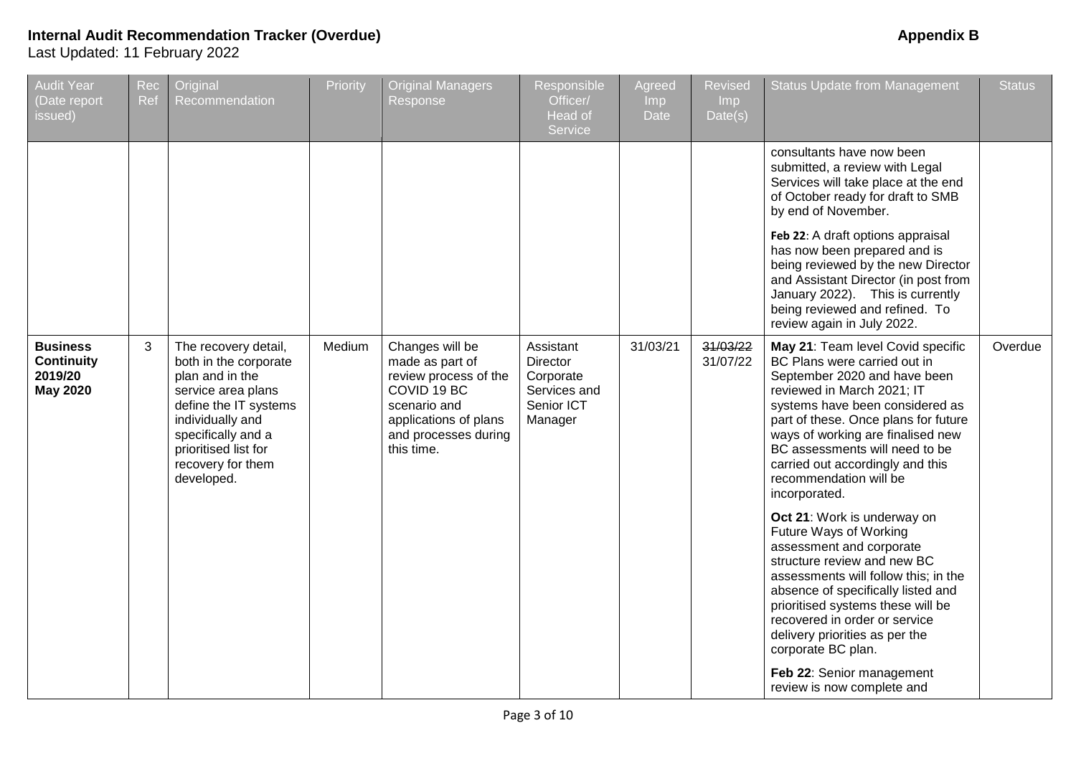| Audit Year<br>(Date report<br>issued)                              | Rec<br>Ref | Original<br>Recommendation                                                                                                                                                                                           | Priority | <b>Original Managers</b><br>Response                                                                                                                      | Responsible<br>Officer/<br>Head of<br>Service                               | Agreed<br>Imp<br>Date | <b>Revised</b><br><b>Imp</b><br>Date(s) | <b>Status Update from Management</b>                                                                                                                                                                                                                                                                                                                             | <b>Status</b> |
|--------------------------------------------------------------------|------------|----------------------------------------------------------------------------------------------------------------------------------------------------------------------------------------------------------------------|----------|-----------------------------------------------------------------------------------------------------------------------------------------------------------|-----------------------------------------------------------------------------|-----------------------|-----------------------------------------|------------------------------------------------------------------------------------------------------------------------------------------------------------------------------------------------------------------------------------------------------------------------------------------------------------------------------------------------------------------|---------------|
|                                                                    |            |                                                                                                                                                                                                                      |          |                                                                                                                                                           |                                                                             |                       |                                         | consultants have now been<br>submitted, a review with Legal<br>Services will take place at the end<br>of October ready for draft to SMB<br>by end of November.                                                                                                                                                                                                   |               |
|                                                                    |            |                                                                                                                                                                                                                      |          |                                                                                                                                                           |                                                                             |                       |                                         | Feb 22: A draft options appraisal<br>has now been prepared and is<br>being reviewed by the new Director<br>and Assistant Director (in post from<br>January 2022). This is currently<br>being reviewed and refined. To<br>review again in July 2022.                                                                                                              |               |
| <b>Business</b><br><b>Continuity</b><br>2019/20<br><b>May 2020</b> | 3          | The recovery detail,<br>both in the corporate<br>plan and in the<br>service area plans<br>define the IT systems<br>individually and<br>specifically and a<br>prioritised list for<br>recovery for them<br>developed. | Medium   | Changes will be<br>made as part of<br>review process of the<br>COVID 19 BC<br>scenario and<br>applications of plans<br>and processes during<br>this time. | Assistant<br>Director<br>Corporate<br>Services and<br>Senior ICT<br>Manager | 31/03/21              | 31/03/22<br>31/07/22                    | May 21: Team level Covid specific<br>BC Plans were carried out in<br>September 2020 and have been<br>reviewed in March 2021; IT<br>systems have been considered as<br>part of these. Once plans for future<br>ways of working are finalised new<br>BC assessments will need to be<br>carried out accordingly and this<br>recommendation will be<br>incorporated. | Overdue       |
|                                                                    |            |                                                                                                                                                                                                                      |          |                                                                                                                                                           |                                                                             |                       |                                         | Oct 21: Work is underway on<br>Future Ways of Working<br>assessment and corporate<br>structure review and new BC<br>assessments will follow this; in the<br>absence of specifically listed and<br>prioritised systems these will be<br>recovered in order or service<br>delivery priorities as per the<br>corporate BC plan.                                     |               |
|                                                                    |            |                                                                                                                                                                                                                      |          |                                                                                                                                                           |                                                                             |                       |                                         | Feb 22: Senior management<br>review is now complete and                                                                                                                                                                                                                                                                                                          |               |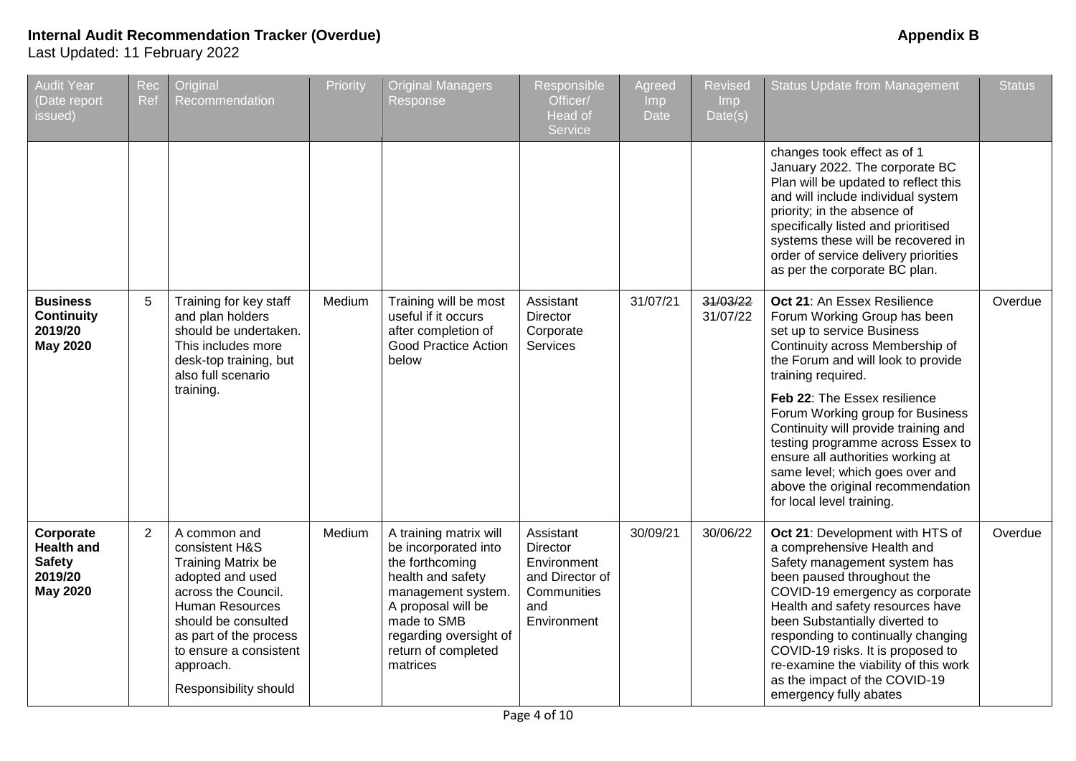| <b>Audit Year</b><br>(Date report<br>issued)                                  | Rec<br>Ref | Original<br>Recommendation                                                                                                                                                                                                                 | Priority | <b>Original Managers</b><br>Response                                                                                                                                                                           | Responsible<br>Officer/<br><b>Head of</b><br>Service                                         | Agreed<br>lmp.<br>Date | <b>Revised</b><br><b>Imp</b><br>Date(s) | <b>Status Update from Management</b>                                                                                                                                                                                                                                                                                                                                                                                                                                                | <b>Status</b> |
|-------------------------------------------------------------------------------|------------|--------------------------------------------------------------------------------------------------------------------------------------------------------------------------------------------------------------------------------------------|----------|----------------------------------------------------------------------------------------------------------------------------------------------------------------------------------------------------------------|----------------------------------------------------------------------------------------------|------------------------|-----------------------------------------|-------------------------------------------------------------------------------------------------------------------------------------------------------------------------------------------------------------------------------------------------------------------------------------------------------------------------------------------------------------------------------------------------------------------------------------------------------------------------------------|---------------|
|                                                                               |            |                                                                                                                                                                                                                                            |          |                                                                                                                                                                                                                |                                                                                              |                        |                                         | changes took effect as of 1<br>January 2022. The corporate BC<br>Plan will be updated to reflect this<br>and will include individual system<br>priority; in the absence of<br>specifically listed and prioritised<br>systems these will be recovered in<br>order of service delivery priorities<br>as per the corporate BC plan.                                                                                                                                                    |               |
| <b>Business</b><br><b>Continuity</b><br>2019/20<br><b>May 2020</b>            | 5          | Training for key staff<br>and plan holders<br>should be undertaken.<br>This includes more<br>desk-top training, but<br>also full scenario<br>training.                                                                                     | Medium   | Training will be most<br>useful if it occurs<br>after completion of<br><b>Good Practice Action</b><br>below                                                                                                    | Assistant<br>Director<br>Corporate<br>Services                                               | 31/07/21               | 31/03/22<br>31/07/22                    | Oct 21: An Essex Resilience<br>Forum Working Group has been<br>set up to service Business<br>Continuity across Membership of<br>the Forum and will look to provide<br>training required.<br>Feb 22: The Essex resilience<br>Forum Working group for Business<br>Continuity will provide training and<br>testing programme across Essex to<br>ensure all authorities working at<br>same level; which goes over and<br>above the original recommendation<br>for local level training. | Overdue       |
| Corporate<br><b>Health and</b><br><b>Safety</b><br>2019/20<br><b>May 2020</b> | 2          | A common and<br>consistent H&S<br>Training Matrix be<br>adopted and used<br>across the Council.<br><b>Human Resources</b><br>should be consulted<br>as part of the process<br>to ensure a consistent<br>approach.<br>Responsibility should | Medium   | A training matrix will<br>be incorporated into<br>the forthcoming<br>health and safety<br>management system.<br>A proposal will be<br>made to SMB<br>regarding oversight of<br>return of completed<br>matrices | Assistant<br>Director<br>Environment<br>and Director of<br>Communities<br>and<br>Environment | 30/09/21               | 30/06/22                                | Oct 21: Development with HTS of<br>a comprehensive Health and<br>Safety management system has<br>been paused throughout the<br>COVID-19 emergency as corporate<br>Health and safety resources have<br>been Substantially diverted to<br>responding to continually changing<br>COVID-19 risks. It is proposed to<br>re-examine the viability of this work<br>as the impact of the COVID-19<br>emergency fully abates                                                                 | Overdue       |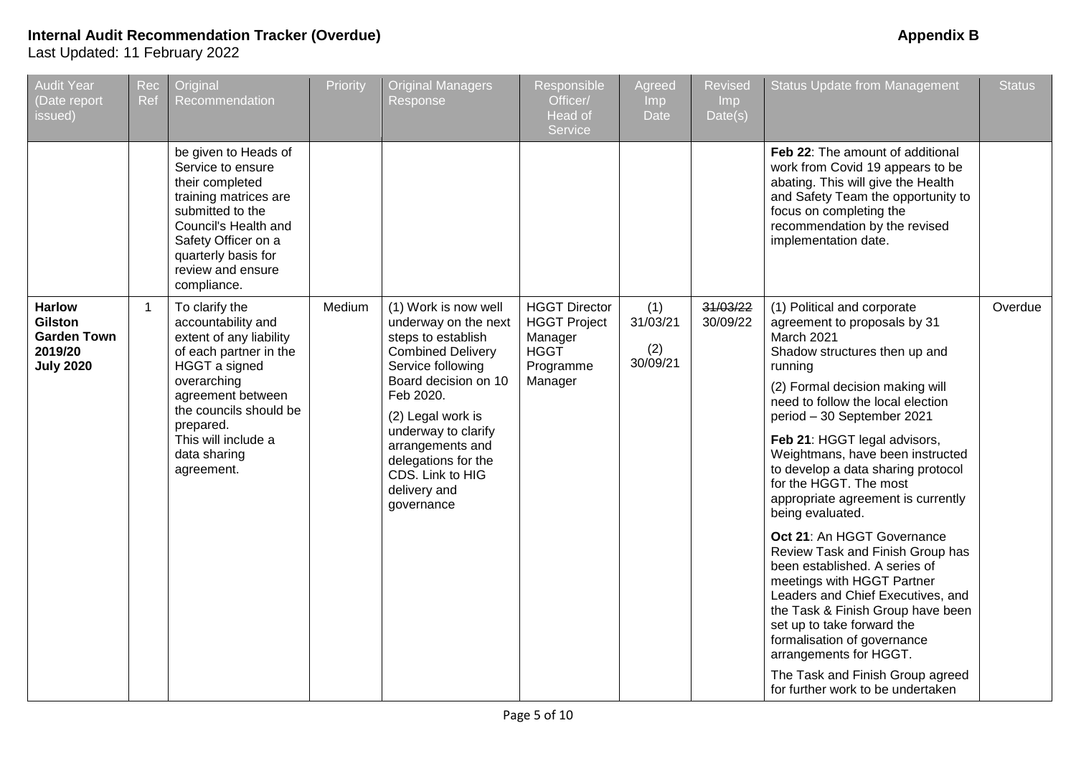| <b>Audit Year</b><br>Date report<br>issued)                                          | Rec<br>Ref  | Original<br>Recommendation                                                                                                                                                                                                                 | Priority | <b>Original Managers</b><br>Response                                                                                                                                                                                                                                                              | Responsible<br>Officer/<br>Head of<br>Service                                                 | Agreed<br>Imp<br>Date              | <b>Revised</b><br>Imp<br>Date(s) | <b>Status Update from Management</b>                                                                                                                                                                                                                                                                                                                                                                                                                                                                                                                                                                                                                                                                                                                                                                 | <b>Status</b> |
|--------------------------------------------------------------------------------------|-------------|--------------------------------------------------------------------------------------------------------------------------------------------------------------------------------------------------------------------------------------------|----------|---------------------------------------------------------------------------------------------------------------------------------------------------------------------------------------------------------------------------------------------------------------------------------------------------|-----------------------------------------------------------------------------------------------|------------------------------------|----------------------------------|------------------------------------------------------------------------------------------------------------------------------------------------------------------------------------------------------------------------------------------------------------------------------------------------------------------------------------------------------------------------------------------------------------------------------------------------------------------------------------------------------------------------------------------------------------------------------------------------------------------------------------------------------------------------------------------------------------------------------------------------------------------------------------------------------|---------------|
|                                                                                      |             | be given to Heads of<br>Service to ensure<br>their completed<br>training matrices are<br>submitted to the<br>Council's Health and<br>Safety Officer on a<br>quarterly basis for<br>review and ensure<br>compliance.                        |          |                                                                                                                                                                                                                                                                                                   |                                                                                               |                                    |                                  | Feb 22: The amount of additional<br>work from Covid 19 appears to be<br>abating. This will give the Health<br>and Safety Team the opportunity to<br>focus on completing the<br>recommendation by the revised<br>implementation date.                                                                                                                                                                                                                                                                                                                                                                                                                                                                                                                                                                 |               |
| <b>Harlow</b><br><b>Gilston</b><br><b>Garden Town</b><br>2019/20<br><b>July 2020</b> | $\mathbf 1$ | To clarify the<br>accountability and<br>extent of any liability<br>of each partner in the<br>HGGT a signed<br>overarching<br>agreement between<br>the councils should be<br>prepared.<br>This will include a<br>data sharing<br>agreement. | Medium   | (1) Work is now well<br>underway on the next<br>steps to establish<br><b>Combined Delivery</b><br>Service following<br>Board decision on 10<br>Feb 2020.<br>(2) Legal work is<br>underway to clarify<br>arrangements and<br>delegations for the<br>CDS. Link to HIG<br>delivery and<br>governance | <b>HGGT Director</b><br><b>HGGT Project</b><br>Manager<br><b>HGGT</b><br>Programme<br>Manager | (1)<br>31/03/21<br>(2)<br>30/09/21 | 31/03/22<br>30/09/22             | (1) Political and corporate<br>agreement to proposals by 31<br>March 2021<br>Shadow structures then up and<br>running<br>(2) Formal decision making will<br>need to follow the local election<br>period - 30 September 2021<br>Feb 21: HGGT legal advisors,<br>Weightmans, have been instructed<br>to develop a data sharing protocol<br>for the HGGT. The most<br>appropriate agreement is currently<br>being evaluated.<br>Oct 21: An HGGT Governance<br>Review Task and Finish Group has<br>been established. A series of<br>meetings with HGGT Partner<br>Leaders and Chief Executives, and<br>the Task & Finish Group have been<br>set up to take forward the<br>formalisation of governance<br>arrangements for HGGT.<br>The Task and Finish Group agreed<br>for further work to be undertaken | Overdue       |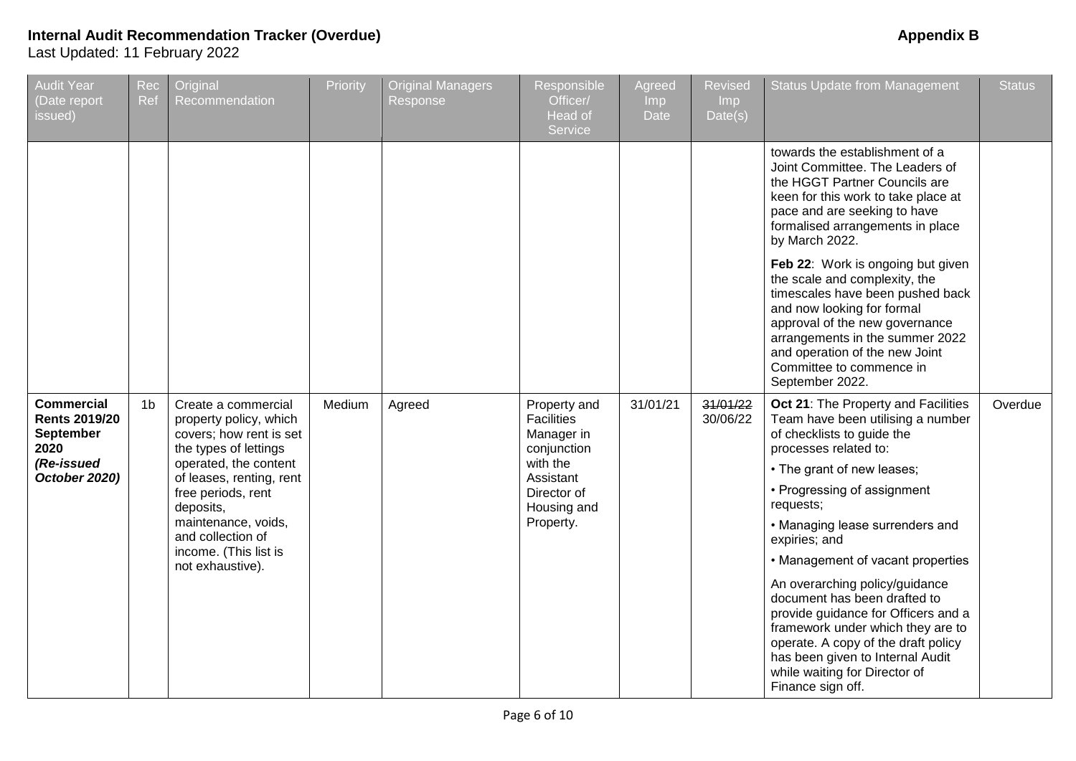| <b>Audit Year</b><br>(Date report<br>issued)                                                         | Rec<br>Ref     | Original<br>Recommendation                                                                                                                                                                                                                                                         | Priority | <b>Original Managers</b><br>Response | Responsible<br>Officer/<br>Head of<br>Service                                                                                      | Agreed<br>Imp<br><b>Date</b> | Revised<br>Imp<br>Date(s) | <b>Status Update from Management</b>                                                                                                                                                                                                                                                                                                                                                                                                                                                                                                                                              | <b>Status</b> |
|------------------------------------------------------------------------------------------------------|----------------|------------------------------------------------------------------------------------------------------------------------------------------------------------------------------------------------------------------------------------------------------------------------------------|----------|--------------------------------------|------------------------------------------------------------------------------------------------------------------------------------|------------------------------|---------------------------|-----------------------------------------------------------------------------------------------------------------------------------------------------------------------------------------------------------------------------------------------------------------------------------------------------------------------------------------------------------------------------------------------------------------------------------------------------------------------------------------------------------------------------------------------------------------------------------|---------------|
|                                                                                                      |                |                                                                                                                                                                                                                                                                                    |          |                                      |                                                                                                                                    |                              |                           | towards the establishment of a<br>Joint Committee. The Leaders of<br>the HGGT Partner Councils are<br>keen for this work to take place at<br>pace and are seeking to have<br>formalised arrangements in place<br>by March 2022.<br>Feb 22: Work is ongoing but given<br>the scale and complexity, the<br>timescales have been pushed back<br>and now looking for formal<br>approval of the new governance<br>arrangements in the summer 2022<br>and operation of the new Joint<br>Committee to commence in<br>September 2022.                                                     |               |
| <b>Commercial</b><br><b>Rents 2019/20</b><br><b>September</b><br>2020<br>(Re-issued<br>October 2020) | 1 <sub>b</sub> | Create a commercial<br>property policy, which<br>covers; how rent is set<br>the types of lettings<br>operated, the content<br>of leases, renting, rent<br>free periods, rent<br>deposits,<br>maintenance, voids,<br>and collection of<br>income. (This list is<br>not exhaustive). | Medium   | Agreed                               | Property and<br><b>Facilities</b><br>Manager in<br>conjunction<br>with the<br>Assistant<br>Director of<br>Housing and<br>Property. | 31/01/21                     | 31/01/22<br>30/06/22      | Oct 21: The Property and Facilities<br>Team have been utilising a number<br>of checklists to guide the<br>processes related to:<br>• The grant of new leases;<br>• Progressing of assignment<br>requests;<br>• Managing lease surrenders and<br>expiries; and<br>• Management of vacant properties<br>An overarching policy/guidance<br>document has been drafted to<br>provide guidance for Officers and a<br>framework under which they are to<br>operate. A copy of the draft policy<br>has been given to Internal Audit<br>while waiting for Director of<br>Finance sign off. | Overdue       |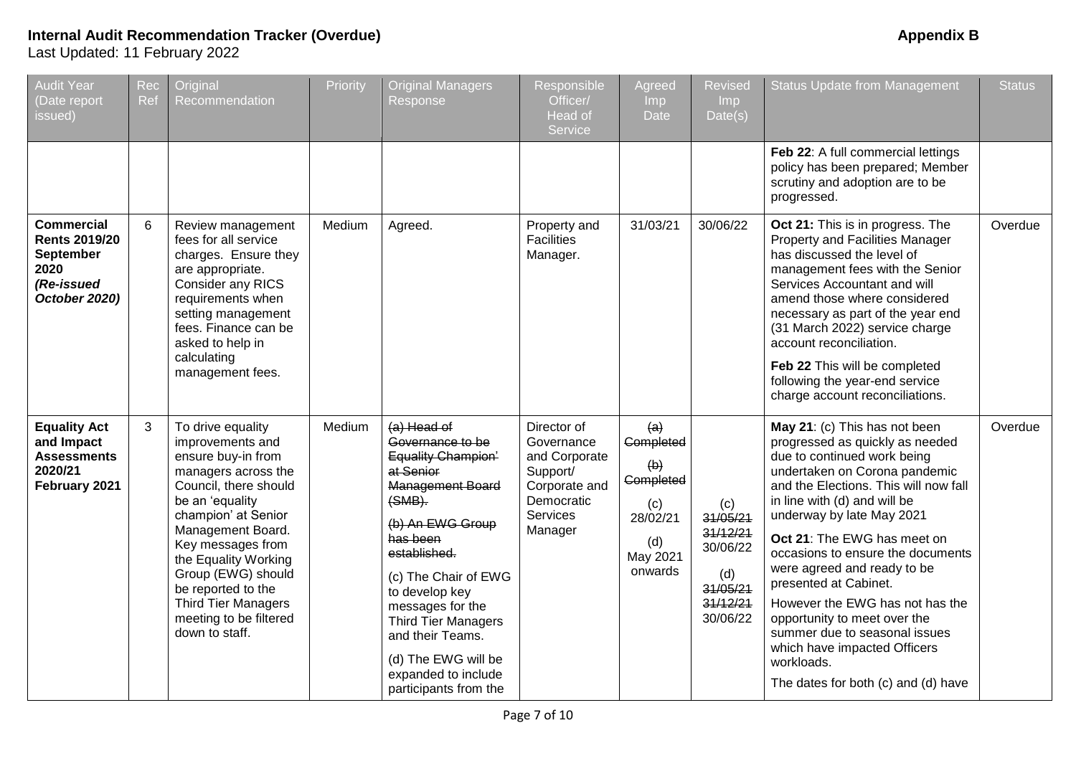| <b>Audit Year</b><br>Date report<br>issued)                                                   | Rec<br>Ref | Original<br>Recommendation                                                                                                                                                                                                                                                                                                                    | Priority | <b>Original Managers</b><br>Response                                                                                                                                                                                                                                                                                                                | Responsible<br>Officer/<br><b>Head of</b><br>Service                                                                | Agreed<br>Imp.<br><b>Date</b>                                                                           | <b>Revised</b><br><b>Imp</b><br>Date(s)                                            | <b>Status Update from Management</b>                                                                                                                                                                                                                                                                                                                                                                                                                                                                                                                        | <b>Status</b> |
|-----------------------------------------------------------------------------------------------|------------|-----------------------------------------------------------------------------------------------------------------------------------------------------------------------------------------------------------------------------------------------------------------------------------------------------------------------------------------------|----------|-----------------------------------------------------------------------------------------------------------------------------------------------------------------------------------------------------------------------------------------------------------------------------------------------------------------------------------------------------|---------------------------------------------------------------------------------------------------------------------|---------------------------------------------------------------------------------------------------------|------------------------------------------------------------------------------------|-------------------------------------------------------------------------------------------------------------------------------------------------------------------------------------------------------------------------------------------------------------------------------------------------------------------------------------------------------------------------------------------------------------------------------------------------------------------------------------------------------------------------------------------------------------|---------------|
|                                                                                               |            |                                                                                                                                                                                                                                                                                                                                               |          |                                                                                                                                                                                                                                                                                                                                                     |                                                                                                                     |                                                                                                         |                                                                                    | Feb 22: A full commercial lettings<br>policy has been prepared; Member<br>scrutiny and adoption are to be<br>progressed.                                                                                                                                                                                                                                                                                                                                                                                                                                    |               |
| <b>Commercial</b><br><b>Rents 2019/20</b><br>September<br>2020<br>(Re-issued<br>October 2020) | 6          | Review management<br>fees for all service<br>charges. Ensure they<br>are appropriate.<br>Consider any RICS<br>requirements when<br>setting management<br>fees. Finance can be<br>asked to help in<br>calculating<br>management fees.                                                                                                          | Medium   | Agreed.                                                                                                                                                                                                                                                                                                                                             | Property and<br><b>Facilities</b><br>Manager.                                                                       | 31/03/21                                                                                                | 30/06/22                                                                           | Oct 21: This is in progress. The<br>Property and Facilities Manager<br>has discussed the level of<br>management fees with the Senior<br>Services Accountant and will<br>amend those where considered<br>necessary as part of the year end<br>(31 March 2022) service charge<br>account reconciliation.<br>Feb 22 This will be completed<br>following the year-end service<br>charge account reconciliations.                                                                                                                                                | Overdue       |
| <b>Equality Act</b><br>and Impact<br><b>Assessments</b><br>2020/21<br>February 2021           | 3          | To drive equality<br>improvements and<br>ensure buy-in from<br>managers across the<br>Council, there should<br>be an 'equality<br>champion' at Senior<br>Management Board.<br>Key messages from<br>the Equality Working<br>Group (EWG) should<br>be reported to the<br><b>Third Tier Managers</b><br>meeting to be filtered<br>down to staff. | Medium   | $(a)$ Head of<br>Governance to be<br>Equality Champion'<br>at Senior<br><b>Management Board</b><br>$(SMB)$ .<br>(b) An EWG Group<br>has been<br>established.<br>(c) The Chair of EWG<br>to develop key<br>messages for the<br><b>Third Tier Managers</b><br>and their Teams.<br>(d) The EWG will be<br>expanded to include<br>participants from the | Director of<br>Governance<br>and Corporate<br>Support/<br>Corporate and<br>Democratic<br><b>Services</b><br>Manager | (a)<br>Completed<br>$\left(\theta\right)$<br>Completed<br>(c)<br>28/02/21<br>(d)<br>May 2021<br>onwards | (c)<br>31/05/21<br>31/12/21<br>30/06/22<br>(d)<br>31/05/21<br>31/12/21<br>30/06/22 | May 21: (c) This has not been<br>progressed as quickly as needed<br>due to continued work being<br>undertaken on Corona pandemic<br>and the Elections. This will now fall<br>in line with (d) and will be<br>underway by late May 2021<br>Oct 21: The EWG has meet on<br>occasions to ensure the documents<br>were agreed and ready to be<br>presented at Cabinet.<br>However the EWG has not has the<br>opportunity to meet over the<br>summer due to seasonal issues<br>which have impacted Officers<br>workloads.<br>The dates for both (c) and (d) have | Overdue       |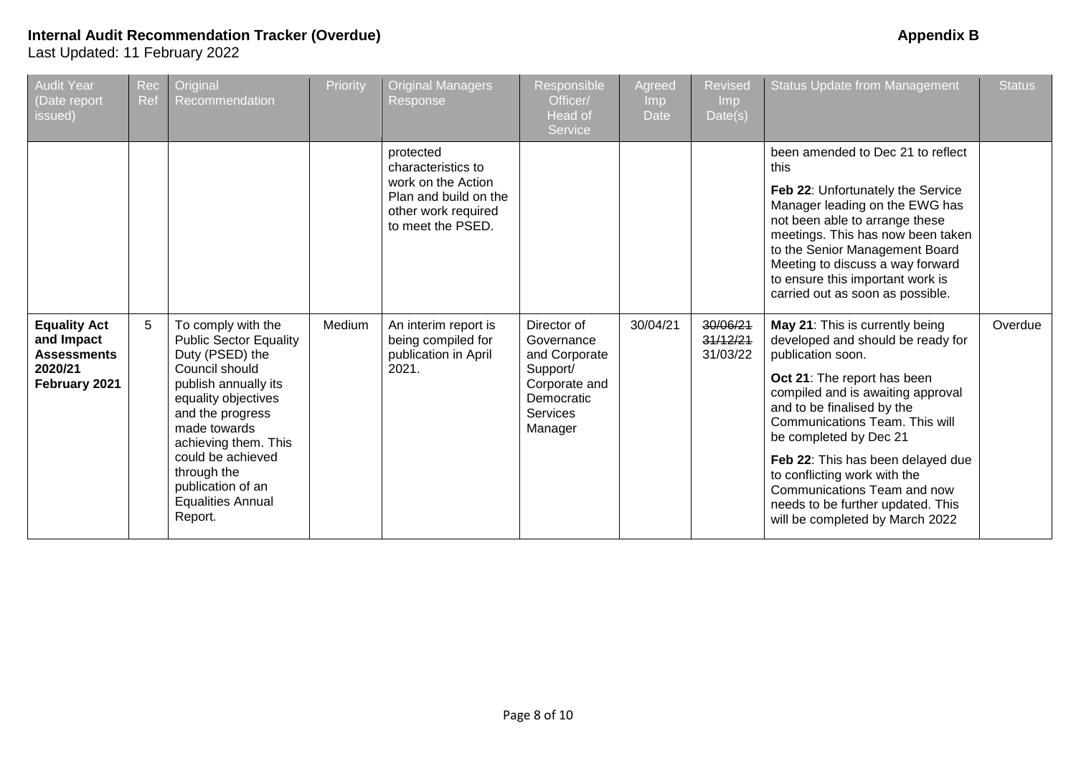| <b>Audit Year</b><br>(Date report<br>issued)                                        | Rec<br>Ref | Original<br>Recommendation                                                                                                                                                                                                                                                                          | Priority | <b>Original Managers</b><br>Response                                                                                       | Responsible<br>Officer/<br>Head of<br>Service                                                                       | Agreed<br>Imp<br><b>Date</b> | <b>Revised</b><br>Imp<br>Date(s) | <b>Status Update from Management</b>                                                                                                                                                                                                                                                                                                                                                                                                | <b>Status</b> |
|-------------------------------------------------------------------------------------|------------|-----------------------------------------------------------------------------------------------------------------------------------------------------------------------------------------------------------------------------------------------------------------------------------------------------|----------|----------------------------------------------------------------------------------------------------------------------------|---------------------------------------------------------------------------------------------------------------------|------------------------------|----------------------------------|-------------------------------------------------------------------------------------------------------------------------------------------------------------------------------------------------------------------------------------------------------------------------------------------------------------------------------------------------------------------------------------------------------------------------------------|---------------|
|                                                                                     |            |                                                                                                                                                                                                                                                                                                     |          | protected<br>characteristics to<br>work on the Action<br>Plan and build on the<br>other work required<br>to meet the PSED. |                                                                                                                     |                              |                                  | been amended to Dec 21 to reflect<br>this<br>Feb 22: Unfortunately the Service<br>Manager leading on the EWG has<br>not been able to arrange these<br>meetings. This has now been taken<br>to the Senior Management Board<br>Meeting to discuss a way forward<br>to ensure this important work is<br>carried out as soon as possible.                                                                                               |               |
| <b>Equality Act</b><br>and Impact<br><b>Assessments</b><br>2020/21<br>February 2021 | 5          | To comply with the<br><b>Public Sector Equality</b><br>Duty (PSED) the<br>Council should<br>publish annually its<br>equality objectives<br>and the progress<br>made towards<br>achieving them. This<br>could be achieved<br>through the<br>publication of an<br><b>Equalities Annual</b><br>Report. | Medium   | An interim report is<br>being compiled for<br>publication in April<br>2021.                                                | Director of<br>Governance<br>and Corporate<br>Support/<br>Corporate and<br>Democratic<br><b>Services</b><br>Manager | 30/04/21                     | 30/06/21<br>31/12/21<br>31/03/22 | May 21: This is currently being<br>developed and should be ready for<br>publication soon.<br>Oct 21: The report has been<br>compiled and is awaiting approval<br>and to be finalised by the<br>Communications Team. This will<br>be completed by Dec 21<br>Feb 22: This has been delayed due<br>to conflicting work with the<br>Communications Team and now<br>needs to be further updated. This<br>will be completed by March 2022 | Overdue       |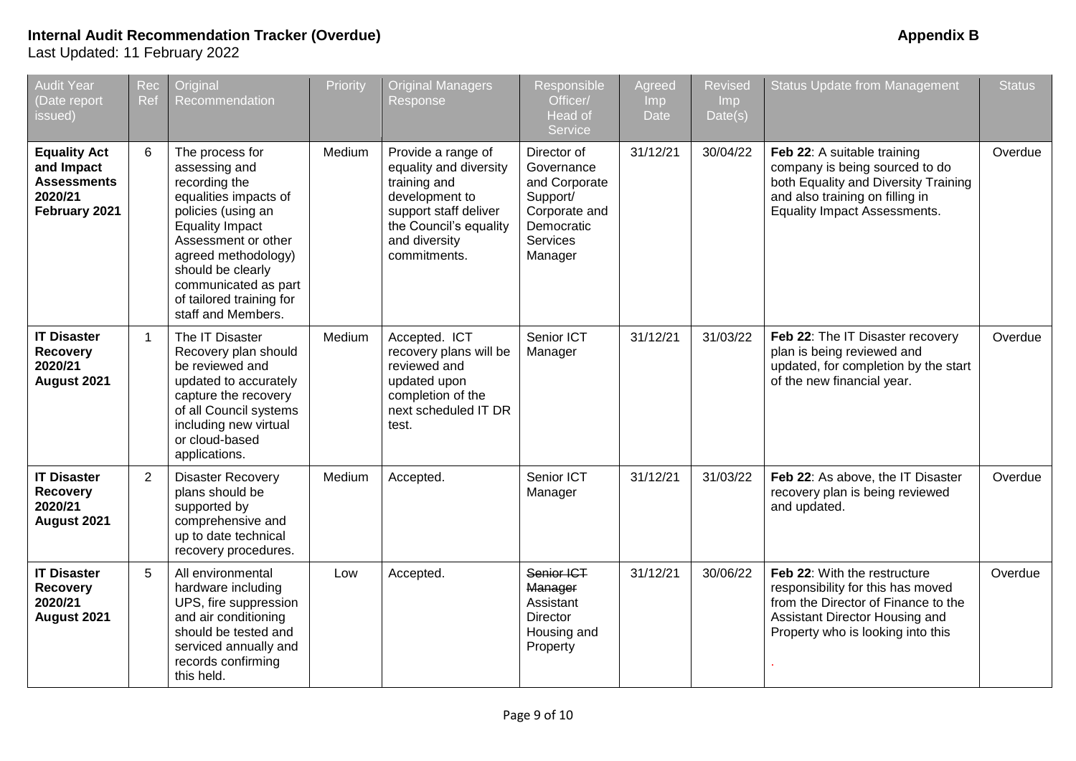| <b>Audit Year</b><br>Date report<br>issued)                                         | Rec<br>Ref     | Original<br>Recommendation                                                                                                                                                                                                                                              | Priority | <b>Original Managers</b><br>Response                                                                                                                               | Responsible<br>Officer/<br>Head of<br>Service                                                                       | Agreed<br>Imp<br><b>Date</b> | <b>Revised</b><br>I <sub>mp</sub><br>Date(s) | <b>Status Update from Management</b>                                                                                                                                            | <b>Status</b> |
|-------------------------------------------------------------------------------------|----------------|-------------------------------------------------------------------------------------------------------------------------------------------------------------------------------------------------------------------------------------------------------------------------|----------|--------------------------------------------------------------------------------------------------------------------------------------------------------------------|---------------------------------------------------------------------------------------------------------------------|------------------------------|----------------------------------------------|---------------------------------------------------------------------------------------------------------------------------------------------------------------------------------|---------------|
| <b>Equality Act</b><br>and Impact<br><b>Assessments</b><br>2020/21<br>February 2021 | 6              | The process for<br>assessing and<br>recording the<br>equalities impacts of<br>policies (using an<br><b>Equality Impact</b><br>Assessment or other<br>agreed methodology)<br>should be clearly<br>communicated as part<br>of tailored training for<br>staff and Members. | Medium   | Provide a range of<br>equality and diversity<br>training and<br>development to<br>support staff deliver<br>the Council's equality<br>and diversity<br>commitments. | Director of<br>Governance<br>and Corporate<br>Support/<br>Corporate and<br>Democratic<br><b>Services</b><br>Manager | 31/12/21                     | 30/04/22                                     | Feb 22: A suitable training<br>company is being sourced to do<br>both Equality and Diversity Training<br>and also training on filling in<br><b>Equality Impact Assessments.</b> | Overdue       |
| <b>IT Disaster</b><br><b>Recovery</b><br>2020/21<br>August 2021                     | $\overline{1}$ | The IT Disaster<br>Recovery plan should<br>be reviewed and<br>updated to accurately<br>capture the recovery<br>of all Council systems<br>including new virtual<br>or cloud-based<br>applications.                                                                       | Medium   | Accepted. ICT<br>recovery plans will be<br>reviewed and<br>updated upon<br>completion of the<br>next scheduled IT DR<br>test.                                      | Senior ICT<br>Manager                                                                                               | 31/12/21                     | 31/03/22                                     | Feb 22: The IT Disaster recovery<br>plan is being reviewed and<br>updated, for completion by the start<br>of the new financial year.                                            | Overdue       |
| <b>IT Disaster</b><br><b>Recovery</b><br>2020/21<br>August 2021                     | 2              | <b>Disaster Recovery</b><br>plans should be<br>supported by<br>comprehensive and<br>up to date technical<br>recovery procedures.                                                                                                                                        | Medium   | Accepted.                                                                                                                                                          | Senior ICT<br>Manager                                                                                               | 31/12/21                     | 31/03/22                                     | Feb 22: As above, the IT Disaster<br>recovery plan is being reviewed<br>and updated.                                                                                            | Overdue       |
| <b>IT Disaster</b><br><b>Recovery</b><br>2020/21<br>August 2021                     | 5              | All environmental<br>hardware including<br>UPS, fire suppression<br>and air conditioning<br>should be tested and<br>serviced annually and<br>records confirming<br>this held.                                                                                           | Low      | Accepted.                                                                                                                                                          | Senior ICT<br>Manager<br>Assistant<br>Director<br>Housing and<br>Property                                           | 31/12/21                     | 30/06/22                                     | Feb 22: With the restructure<br>responsibility for this has moved<br>from the Director of Finance to the<br>Assistant Director Housing and<br>Property who is looking into this | Overdue       |